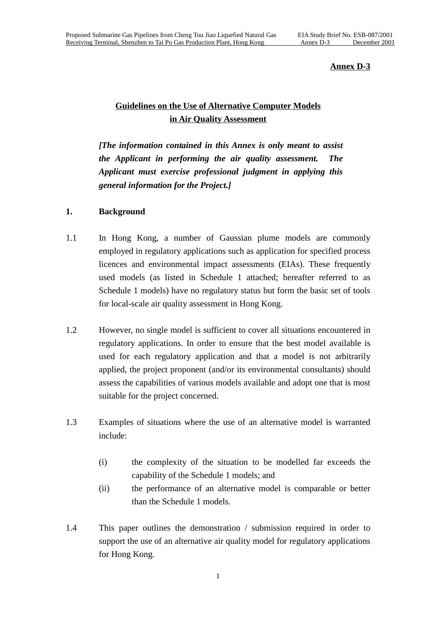#### **Annex D-3**

## **Guidelines on the Use of Alternative Computer Models in Air Quality Assessment**

*[The information contained in this Annex is only meant to assist the Applicant in performing the air quality assessment. The Applicant must exercise professional judgment in applying this general information for the Project.]*

### **1. Background**

- 1.1 In Hong Kong, a number of Gaussian plume models are commonly employed in regulatory applications such as application for specified process licences and environmental impact assessments (EIAs). These frequently used models (as listed in Schedule 1 attached; hereafter referred to as Schedule 1 models) have no regulatory status but form the basic set of tools for local-scale air quality assessment in Hong Kong.
- 1.2 However, no single model is sufficient to cover all situations encountered in regulatory applications. In order to ensure that the best model available is used for each regulatory application and that a model is not arbitrarily applied, the project proponent (and/or its environmental consultants) should assess the capabilities of various models available and adopt one that is most suitable for the project concerned.
- 1.3 Examples of situations where the use of an alternative model is warranted include:
	- (i) the complexity of the situation to be modelled far exceeds the capability of the Schedule 1 models; and
	- (ii) the performance of an alternative model is comparable or better than the Schedule 1 models.
- 1.4 This paper outlines the demonstration / submission required in order to support the use of an alternative air quality model for regulatory applications for Hong Kong.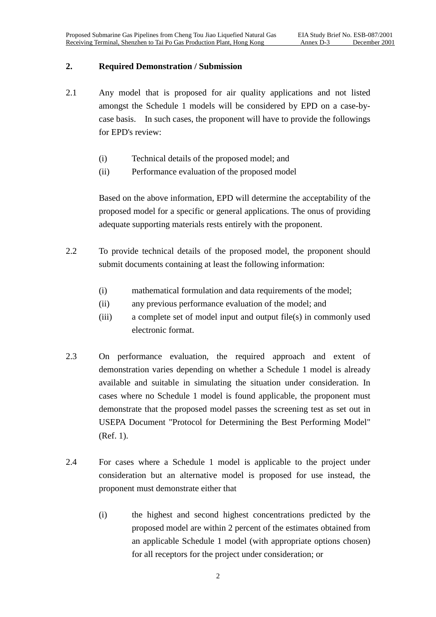#### **2. Required Demonstration / Submission**

- 2.1 Any model that is proposed for air quality applications and not listed amongst the Schedule 1 models will be considered by EPD on a case-bycase basis. In such cases, the proponent will have to provide the followings for EPD's review:
	- (i) Technical details of the proposed model; and
	- (ii) Performance evaluation of the proposed model

Based on the above information, EPD will determine the acceptability of the proposed model for a specific or general applications. The onus of providing adequate supporting materials rests entirely with the proponent.

- 2.2 To provide technical details of the proposed model, the proponent should submit documents containing at least the following information:
	- (i) mathematical formulation and data requirements of the model;
	- (ii) any previous performance evaluation of the model; and
	- (iii) a complete set of model input and output file(s) in commonly used electronic format.
- 2.3 On performance evaluation, the required approach and extent of demonstration varies depending on whether a Schedule 1 model is already available and suitable in simulating the situation under consideration. In cases where no Schedule 1 model is found applicable, the proponent must demonstrate that the proposed model passes the screening test as set out in USEPA Document "Protocol for Determining the Best Performing Model" (Ref. 1).
- 2.4 For cases where a Schedule 1 model is applicable to the project under consideration but an alternative model is proposed for use instead, the proponent must demonstrate either that
	- (i) the highest and second highest concentrations predicted by the proposed model are within 2 percent of the estimates obtained from an applicable Schedule 1 model (with appropriate options chosen) for all receptors for the project under consideration; or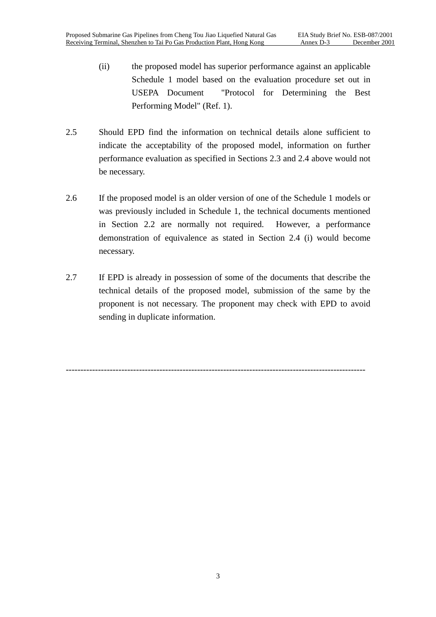- (ii) the proposed model has superior performance against an applicable Schedule 1 model based on the evaluation procedure set out in USEPA Document "Protocol for Determining the Best Performing Model" (Ref. 1).
- 2.5 Should EPD find the information on technical details alone sufficient to indicate the acceptability of the proposed model, information on further performance evaluation as specified in Sections 2.3 and 2.4 above would not be necessary.
- 2.6 If the proposed model is an older version of one of the Schedule 1 models or was previously included in Schedule 1, the technical documents mentioned in Section 2.2 are normally not required. However, a performance demonstration of equivalence as stated in Section 2.4 (i) would become necessary.
- 2.7 If EPD is already in possession of some of the documents that describe the technical details of the proposed model, submission of the same by the proponent is not necessary. The proponent may check with EPD to avoid sending in duplicate information.

-------------------------------------------------------------------------------------------------------